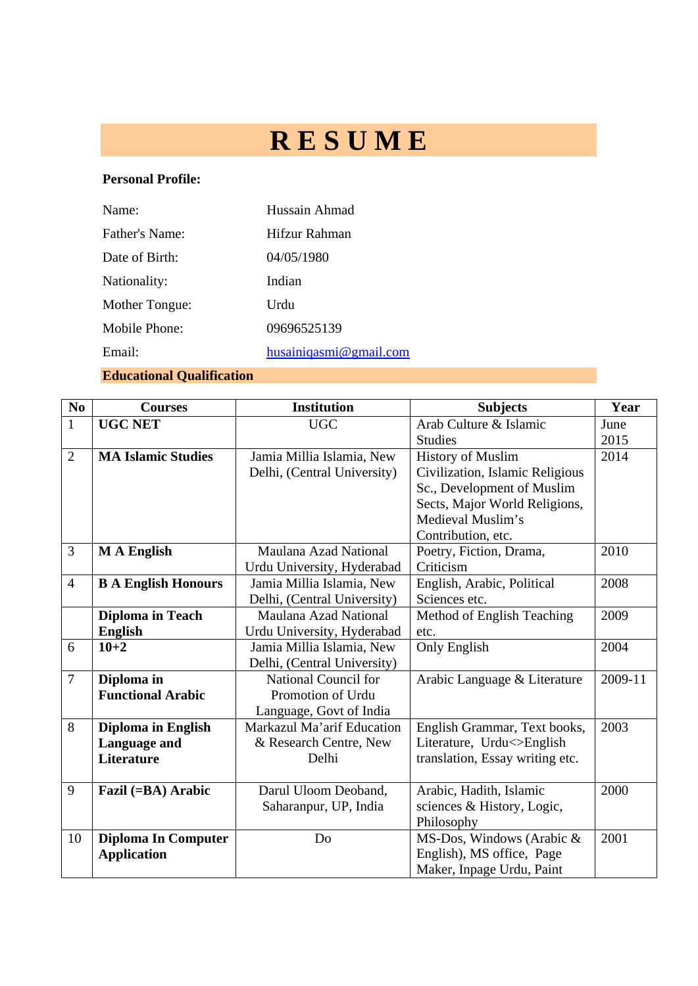# **R E S U M E**

## **Personal Profile:**

| Name:          | Hussain Ahmad          |
|----------------|------------------------|
| Father's Name: | Hifzur Rahman          |
| Date of Birth: | 04/05/1980             |
| Nationality:   | Indian                 |
| Mother Tongue: | Urdu                   |
| Mobile Phone:  | 09696525139            |
| Email:         | husainiqasmi@gmail.com |

**Educational Qualification** 

| No             | <b>Courses</b>             | <b>Institution</b>                   | <b>Subjects</b>                 | Year    |
|----------------|----------------------------|--------------------------------------|---------------------------------|---------|
| $\mathbf{1}$   | <b>UGC NET</b>             | Arab Culture & Islamic<br><b>UGC</b> |                                 | June    |
|                |                            |                                      | <b>Studies</b>                  | 2015    |
| $\overline{2}$ | <b>MA Islamic Studies</b>  | Jamia Millia Islamia, New            | <b>History of Muslim</b>        | 2014    |
|                |                            | Delhi, (Central University)          | Civilization, Islamic Religious |         |
|                |                            |                                      | Sc., Development of Muslim      |         |
|                |                            |                                      | Sects, Major World Religions,   |         |
|                |                            |                                      | Medieval Muslim's               |         |
|                |                            |                                      | Contribution, etc.              |         |
| $\overline{3}$ | <b>MA</b> English          | Maulana Azad National                | Poetry, Fiction, Drama,         | 2010    |
|                |                            | Urdu University, Hyderabad           | Criticism                       |         |
| $\overline{4}$ | <b>B A English Honours</b> | Jamia Millia Islamia, New            | English, Arabic, Political      | 2008    |
|                |                            | Delhi, (Central University)          | Sciences etc.                   |         |
|                | <b>Diploma in Teach</b>    | Maulana Azad National                | Method of English Teaching      | 2009    |
|                | <b>English</b>             | Urdu University, Hyderabad           | etc.                            |         |
| 6              | $10 + 2$                   | Jamia Millia Islamia, New            | Only English                    | 2004    |
|                |                            | Delhi, (Central University)          |                                 |         |
| $\overline{7}$ | Diploma in                 | National Council for                 | Arabic Language & Literature    | 2009-11 |
|                | <b>Functional Arabic</b>   | Promotion of Urdu                    |                                 |         |
|                |                            | Language, Govt of India              |                                 |         |
| 8              | Diploma in English         | Markazul Ma'arif Education           | English Grammar, Text books,    | 2003    |
|                | Language and               | & Research Centre, New               | Literature, Urdu<>English       |         |
|                | <b>Literature</b>          | Delhi                                | translation, Essay writing etc. |         |
|                |                            |                                      |                                 |         |
| 9              | Fazil (=BA) Arabic         | Darul Uloom Deoband,                 | Arabic, Hadith, Islamic         | 2000    |
|                |                            | Saharanpur, UP, India                | sciences & History, Logic,      |         |
|                |                            |                                      | Philosophy                      |         |
| 10             | <b>Diploma In Computer</b> | Do                                   | MS-Dos, Windows (Arabic &       | 2001    |
|                | <b>Application</b>         |                                      | English), MS office, Page       |         |
|                |                            |                                      | Maker, Inpage Urdu, Paint       |         |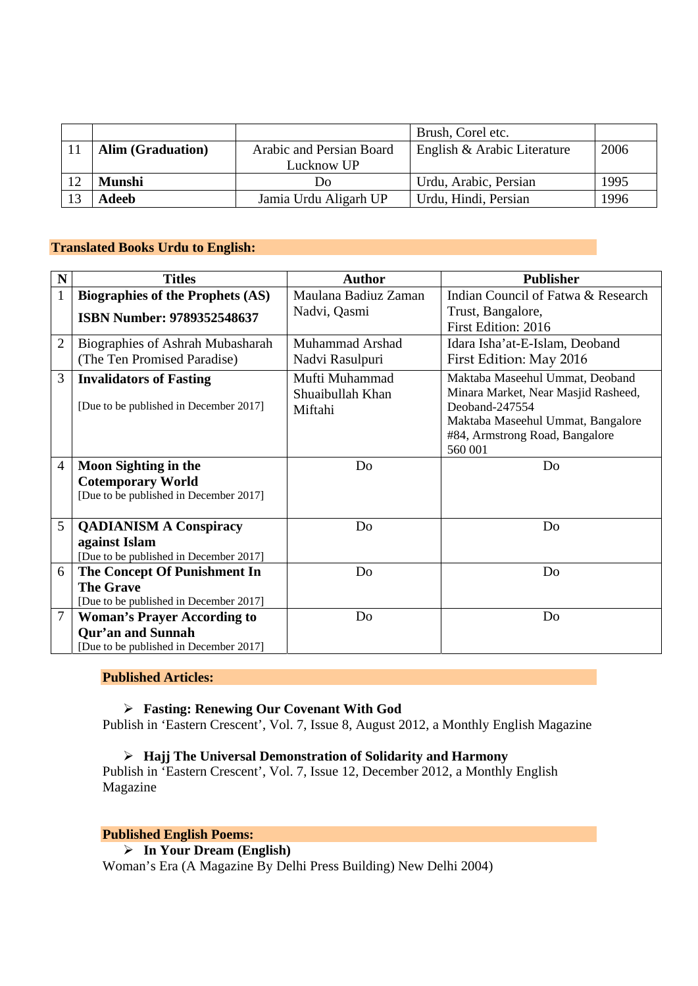|                                                      |            | Brush, Corel etc.           |      |
|------------------------------------------------------|------------|-----------------------------|------|
| <b>Alim (Graduation)</b><br>Arabic and Persian Board |            | English & Arabic Literature | 2006 |
|                                                      | Lucknow UP |                             |      |
| <b>Munshi</b><br>Do                                  |            | Urdu, Arabic, Persian       | 1995 |
| Jamia Urdu Aligarh UP<br>Adeeb                       |            | Urdu, Hindi, Persian        | 1996 |

## **Translated Books Urdu to English:**

| N              | <b>Titles</b>                           | <b>Author</b>        | <b>Publisher</b>                    |
|----------------|-----------------------------------------|----------------------|-------------------------------------|
| $\mathbf{1}$   | <b>Biographies of the Prophets (AS)</b> | Maulana Badiuz Zaman | Indian Council of Fatwa & Research  |
|                | <b>ISBN Number: 9789352548637</b>       | Nadvi, Qasmi         | Trust, Bangalore,                   |
|                |                                         |                      | First Edition: 2016                 |
| $\overline{2}$ | <b>Biographies of Ashrah Mubasharah</b> | Muhammad Arshad      | Idara Isha'at-E-Islam, Deoband      |
|                | (The Ten Promised Paradise)             | Nadvi Rasulpuri      | First Edition: May 2016             |
| 3              | <b>Invalidators of Fasting</b>          | Mufti Muhammad       | Maktaba Maseehul Ummat, Deoband     |
|                |                                         | Shuaibullah Khan     | Minara Market, Near Masjid Rasheed, |
|                | [Due to be published in December 2017]  | Miftahi              | Deoband-247554                      |
|                |                                         |                      | Maktaba Maseehul Ummat, Bangalore   |
|                |                                         |                      | #84, Armstrong Road, Bangalore      |
|                |                                         |                      | 560 001                             |
| $\overline{4}$ | <b>Moon Sighting in the</b>             | Do                   | Do                                  |
|                | <b>Cotemporary World</b>                |                      |                                     |
|                | [Due to be published in December 2017]  |                      |                                     |
|                |                                         |                      |                                     |
| 5              | <b>QADIANISM A Conspiracy</b>           | Do                   | Do                                  |
|                | against Islam                           |                      |                                     |
|                | [Due to be published in December 2017]  |                      |                                     |
| 6              | The Concept Of Punishment In            | Do                   | Do                                  |
|                | <b>The Grave</b>                        |                      |                                     |
|                | [Due to be published in December 2017]  |                      |                                     |
| 7              | <b>Woman's Prayer According to</b>      | Do                   | Do                                  |
|                | <b>Qur'an and Sunnah</b>                |                      |                                     |
|                | [Due to be published in December 2017]  |                      |                                     |

#### **Published Articles:**

## ¾ **Fasting: Renewing Our Covenant With God**

Publish in 'Eastern Crescent', Vol. 7, Issue 8, August 2012, a Monthly English Magazine

## ¾ **Hajj The Universal Demonstration of Solidarity and Harmony**

Publish in 'Eastern Crescent', Vol. 7, Issue 12, December 2012, a Monthly English Magazine

### **Published English Poems:**

¾ **In Your Dream (English)** 

Woman's Era (A Magazine By Delhi Press Building) New Delhi 2004)